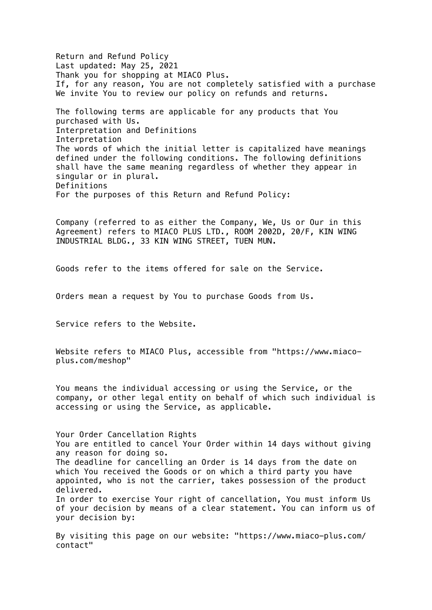Return and Refund Policy Last updated: May 25, 2021 Thank you for shopping at MIACO Plus. If, for any reason, You are not completely satisfied with a purchase We invite You to review our policy on refunds and returns.

The following terms are applicable for any products that You purchased with Us. Interpretation and Definitions Interpretation The words of which the initial letter is capitalized have meanings defined under the following conditions. The following definitions shall have the same meaning regardless of whether they appear in singular or in plural. Definitions For the purposes of this Return and Refund Policy:

Company (referred to as either the Company, We, Us or Our in this Agreement) refers to MIACO PLUS LTD., ROOM 2002D, 20/F, KIN WING INDUSTRIAL BLDG., 33 KIN WING STREET, TUEN MUN.

Goods refer to the items offered for sale on the Service.

Orders mean a request by You to purchase Goods from Us.

Service refers to the Website.

Website refers to MIACO Plus, accessible from "https://www.miacoplus.com/meshop"

You means the individual accessing or using the Service, or the company, or other legal entity on behalf of which such individual is accessing or using the Service, as applicable.

Your Order Cancellation Rights You are entitled to cancel Your Order within 14 days without giving any reason for doing so. The deadline for cancelling an Order is 14 days from the date on which You received the Goods or on which a third party you have appointed, who is not the carrier, takes possession of the product delivered. In order to exercise Your right of cancellation, You must inform Us of your decision by means of a clear statement. You can inform us of your decision by:

By visiting this page on our website: "https://www.miaco-plus.com/ contact"